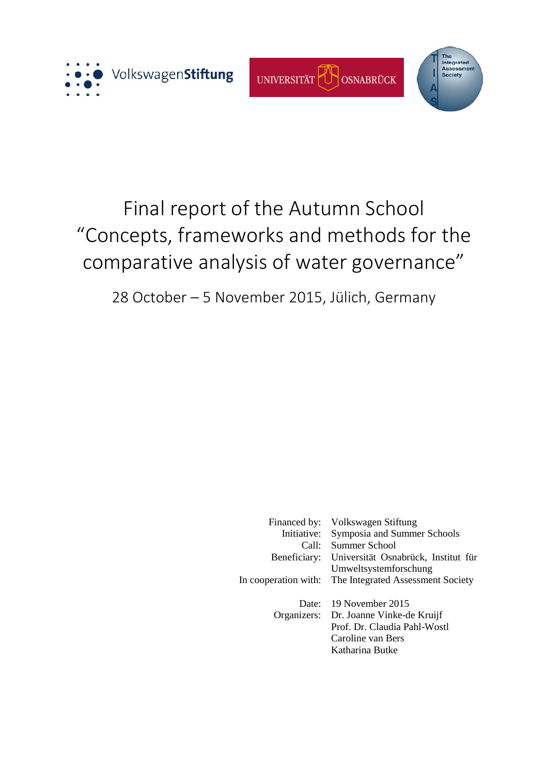





# Final report of the Autumn School "Concepts, frameworks and methods for the comparative analysis of water governance"

28 October – 5 November 2015, Jülich, Germany

| Financed by:<br>Initiative:<br>Call:<br>Beneficiary:<br>In cooperation with: | Volkswagen Stiftung<br>Symposia and Summer Schools<br>Summer School<br>Universität Osnabrück, Institut für<br>Umweltsystemforschung<br>The Integrated Assessment Society |
|------------------------------------------------------------------------------|--------------------------------------------------------------------------------------------------------------------------------------------------------------------------|
| Date:<br>Organizers:                                                         | 19 November 2015<br>Dr. Joanne Vinke-de Kruijf<br>Prof. Dr. Claudia Pahl-Wostl<br>Caroline van Bers<br>Katharina Butke                                                   |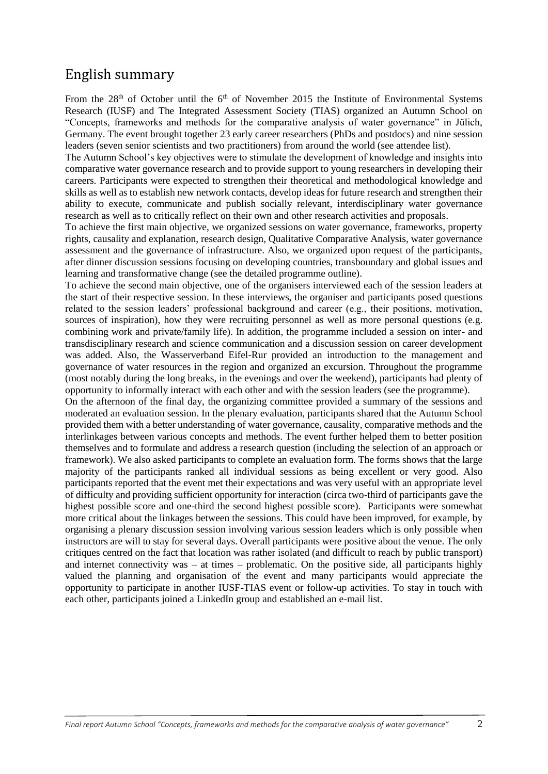## English summary

From the  $28<sup>th</sup>$  of October until the  $6<sup>th</sup>$  of November 2015 the Institute of Environmental Systems Research (IUSF) and The Integrated Assessment Society (TIAS) organized an Autumn School on "Concepts, frameworks and methods for the comparative analysis of water governance" in Jülich, Germany. The event brought together 23 early career researchers (PhDs and postdocs) and nine session leaders (seven senior scientists and two practitioners) from around the world (see attendee list).

The Autumn School's key objectives were to stimulate the development of knowledge and insights into comparative water governance research and to provide support to young researchers in developing their careers. Participants were expected to strengthen their theoretical and methodological knowledge and skills as well as to establish new network contacts, develop ideas for future research and strengthen their ability to execute, communicate and publish socially relevant, interdisciplinary water governance research as well as to critically reflect on their own and other research activities and proposals.

To achieve the first main objective, we organized sessions on water governance, frameworks, property rights, causality and explanation, research design, Qualitative Comparative Analysis, water governance assessment and the governance of infrastructure. Also, we organized upon request of the participants, after dinner discussion sessions focusing on developing countries, transboundary and global issues and learning and transformative change (see the detailed programme outline).

To achieve the second main objective, one of the organisers interviewed each of the session leaders at the start of their respective session. In these interviews, the organiser and participants posed questions related to the session leaders' professional background and career (e.g., their positions, motivation, sources of inspiration), how they were recruiting personnel as well as more personal questions (e.g. combining work and private/family life). In addition, the programme included a session on inter- and transdisciplinary research and science communication and a discussion session on career development was added. Also, the Wasserverband Eifel-Rur provided an introduction to the management and governance of water resources in the region and organized an excursion. Throughout the programme (most notably during the long breaks, in the evenings and over the weekend), participants had plenty of opportunity to informally interact with each other and with the session leaders (see the programme).

On the afternoon of the final day, the organizing committee provided a summary of the sessions and moderated an evaluation session. In the plenary evaluation, participants shared that the Autumn School provided them with a better understanding of water governance, causality, comparative methods and the interlinkages between various concepts and methods. The event further helped them to better position themselves and to formulate and address a research question (including the selection of an approach or framework). We also asked participants to complete an evaluation form. The forms shows that the large majority of the participants ranked all individual sessions as being excellent or very good. Also participants reported that the event met their expectations and was very useful with an appropriate level of difficulty and providing sufficient opportunity for interaction (circa two-third of participants gave the highest possible score and one-third the second highest possible score). Participants were somewhat more critical about the linkages between the sessions. This could have been improved, for example, by organising a plenary discussion session involving various session leaders which is only possible when instructors are will to stay for several days. Overall participants were positive about the venue. The only critiques centred on the fact that location was rather isolated (and difficult to reach by public transport) and internet connectivity was – at times – problematic. On the positive side, all participants highly valued the planning and organisation of the event and many participants would appreciate the opportunity to participate in another IUSF-TIAS event or follow-up activities. To stay in touch with each other, participants joined a LinkedIn group and established an e-mail list.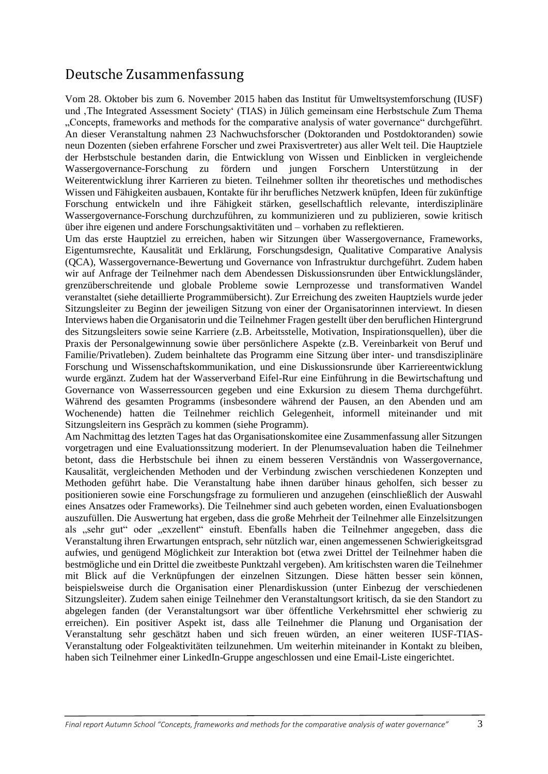## Deutsche Zusammenfassung

Vom 28. Oktober bis zum 6. November 2015 haben das Institut für Umweltsystemforschung (IUSF) und ,The Integrated Assessment Society' (TIAS) in Jülich gemeinsam eine Herbstschule Zum Thema "Concepts, frameworks and methods for the comparative analysis of water governance" durchgeführt. An dieser Veranstaltung nahmen 23 Nachwuchsforscher (Doktoranden und Postdoktoranden) sowie neun Dozenten (sieben erfahrene Forscher und zwei Praxisvertreter) aus aller Welt teil. Die Hauptziele der Herbstschule bestanden darin, die Entwicklung von Wissen und Einblicken in vergleichende Wassergovernance-Forschung zu fördern und jungen Forschern Unterstützung in der Weiterentwicklung ihrer Karrieren zu bieten. Teilnehmer sollten ihr theoretisches und methodisches Wissen und Fähigkeiten ausbauen, Kontakte für ihr berufliches Netzwerk knüpfen, Ideen für zukünftige Forschung entwickeln und ihre Fähigkeit stärken, gesellschaftlich relevante, interdisziplinäre Wassergovernance-Forschung durchzuführen, zu kommunizieren und zu publizieren, sowie kritisch über ihre eigenen und andere Forschungsaktivitäten und – vorhaben zu reflektieren.

Um das erste Hauptziel zu erreichen, haben wir Sitzungen über Wassergovernance, Frameworks, Eigentumsrechte, Kausalität und Erklärung, Forschungsdesign, Qualitative Comparative Analysis (QCA), Wassergovernance-Bewertung und Governance von Infrastruktur durchgeführt. Zudem haben wir auf Anfrage der Teilnehmer nach dem Abendessen Diskussionsrunden über Entwicklungsländer, grenzüberschreitende und globale Probleme sowie Lernprozesse und transformativen Wandel veranstaltet (siehe detaillierte Programmübersicht). Zur Erreichung des zweiten Hauptziels wurde jeder Sitzungsleiter zu Beginn der jeweiligen Sitzung von einer der Organisatorinnen interviewt. In diesen Interviews haben die Organisatorin und die Teilnehmer Fragen gestellt über den beruflichen Hintergrund des Sitzungsleiters sowie seine Karriere (z.B. Arbeitsstelle, Motivation, Inspirationsquellen), über die Praxis der Personalgewinnung sowie über persönlichere Aspekte (z.B. Vereinbarkeit von Beruf und Familie/Privatleben). Zudem beinhaltete das Programm eine Sitzung über inter- und transdisziplinäre Forschung und Wissenschaftskommunikation, und eine Diskussionsrunde über Karriereentwicklung wurde ergänzt. Zudem hat der Wasserverband Eifel-Rur eine Einführung in die Bewirtschaftung und Governance von Wasserressourcen gegeben und eine Exkursion zu diesem Thema durchgeführt. Während des gesamten Programms (insbesondere während der Pausen, an den Abenden und am Wochenende) hatten die Teilnehmer reichlich Gelegenheit, informell miteinander und mit Sitzungsleitern ins Gespräch zu kommen (siehe Programm).

Am Nachmittag des letzten Tages hat das Organisationskomitee eine Zusammenfassung aller Sitzungen vorgetragen und eine Evaluationssitzung moderiert. In der Plenumsevaluation haben die Teilnehmer betont, dass die Herbstschule bei ihnen zu einem besseren Verständnis von Wassergovernance, Kausalität, vergleichenden Methoden und der Verbindung zwischen verschiedenen Konzepten und Methoden geführt habe. Die Veranstaltung habe ihnen darüber hinaus geholfen, sich besser zu positionieren sowie eine Forschungsfrage zu formulieren und anzugehen (einschließlich der Auswahl eines Ansatzes oder Frameworks). Die Teilnehmer sind auch gebeten worden, einen Evaluationsbogen auszufüllen. Die Auswertung hat ergeben, dass die große Mehrheit der Teilnehmer alle Einzelsitzungen als "sehr gut" oder "exzellent" einstuft. Ebenfalls haben die Teilnehmer angegeben, dass die Veranstaltung ihren Erwartungen entsprach, sehr nützlich war, einen angemessenen Schwierigkeitsgrad aufwies, und genügend Möglichkeit zur Interaktion bot (etwa zwei Drittel der Teilnehmer haben die bestmögliche und ein Drittel die zweitbeste Punktzahl vergeben). Am kritischsten waren die Teilnehmer mit Blick auf die Verknüpfungen der einzelnen Sitzungen. Diese hätten besser sein können, beispielsweise durch die Organisation einer Plenardiskussion (unter Einbezug der verschiedenen Sitzungsleiter). Zudem sahen einige Teilnehmer den Veranstaltungsort kritisch, da sie den Standort zu abgelegen fanden (der Veranstaltungsort war über öffentliche Verkehrsmittel eher schwierig zu erreichen). Ein positiver Aspekt ist, dass alle Teilnehmer die Planung und Organisation der Veranstaltung sehr geschätzt haben und sich freuen würden, an einer weiteren IUSF-TIAS-Veranstaltung oder Folgeaktivitäten teilzunehmen. Um weiterhin miteinander in Kontakt zu bleiben, haben sich Teilnehmer einer LinkedIn-Gruppe angeschlossen und eine Email-Liste eingerichtet.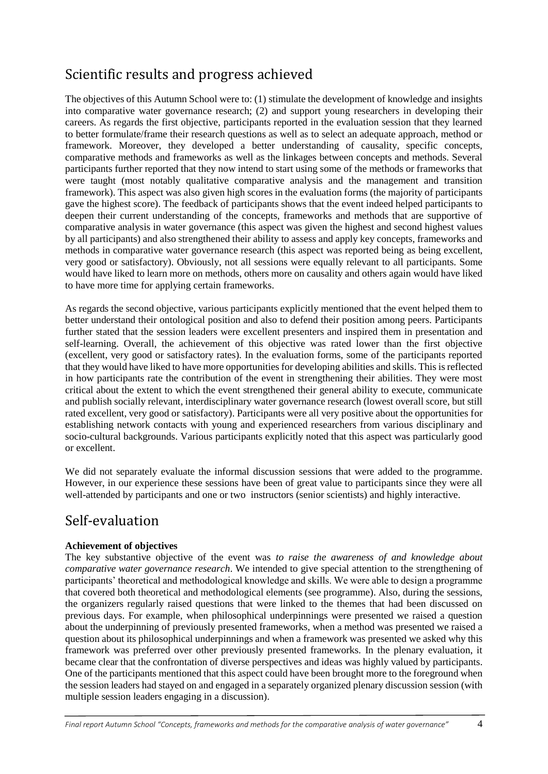# Scientific results and progress achieved

The objectives of this Autumn School were to: (1) stimulate the development of knowledge and insights into comparative water governance research; (2) and support young researchers in developing their careers. As regards the first objective, participants reported in the evaluation session that they learned to better formulate/frame their research questions as well as to select an adequate approach, method or framework. Moreover, they developed a better understanding of causality, specific concepts, comparative methods and frameworks as well as the linkages between concepts and methods. Several participants further reported that they now intend to start using some of the methods or frameworks that were taught (most notably qualitative comparative analysis and the management and transition framework). This aspect was also given high scores in the evaluation forms (the majority of participants gave the highest score). The feedback of participants shows that the event indeed helped participants to deepen their current understanding of the concepts, frameworks and methods that are supportive of comparative analysis in water governance (this aspect was given the highest and second highest values by all participants) and also strengthened their ability to assess and apply key concepts, frameworks and methods in comparative water governance research (this aspect was reported being as being excellent, very good or satisfactory). Obviously, not all sessions were equally relevant to all participants. Some would have liked to learn more on methods, others more on causality and others again would have liked to have more time for applying certain frameworks.

As regards the second objective, various participants explicitly mentioned that the event helped them to better understand their ontological position and also to defend their position among peers. Participants further stated that the session leaders were excellent presenters and inspired them in presentation and self-learning. Overall, the achievement of this objective was rated lower than the first objective (excellent, very good or satisfactory rates). In the evaluation forms, some of the participants reported that they would have liked to have more opportunities for developing abilities and skills. This is reflected in how participants rate the contribution of the event in strengthening their abilities. They were most critical about the extent to which the event strengthened their general ability to execute, communicate and publish socially relevant, interdisciplinary water governance research (lowest overall score, but still rated excellent, very good or satisfactory). Participants were all very positive about the opportunities for establishing network contacts with young and experienced researchers from various disciplinary and socio-cultural backgrounds. Various participants explicitly noted that this aspect was particularly good or excellent.

We did not separately evaluate the informal discussion sessions that were added to the programme. However, in our experience these sessions have been of great value to participants since they were all well-attended by participants and one or two instructors (senior scientists) and highly interactive.

## Self-evaluation

## **Achievement of objectives**

The key substantive objective of the event was *to raise the awareness of and knowledge about comparative water governance research*. We intended to give special attention to the strengthening of participants' theoretical and methodological knowledge and skills. We were able to design a programme that covered both theoretical and methodological elements (see programme). Also, during the sessions, the organizers regularly raised questions that were linked to the themes that had been discussed on previous days. For example, when philosophical underpinnings were presented we raised a question about the underpinning of previously presented frameworks, when a method was presented we raised a question about its philosophical underpinnings and when a framework was presented we asked why this framework was preferred over other previously presented frameworks. In the plenary evaluation, it became clear that the confrontation of diverse perspectives and ideas was highly valued by participants. One of the participants mentioned that this aspect could have been brought more to the foreground when the session leaders had stayed on and engaged in a separately organized plenary discussion session (with multiple session leaders engaging in a discussion).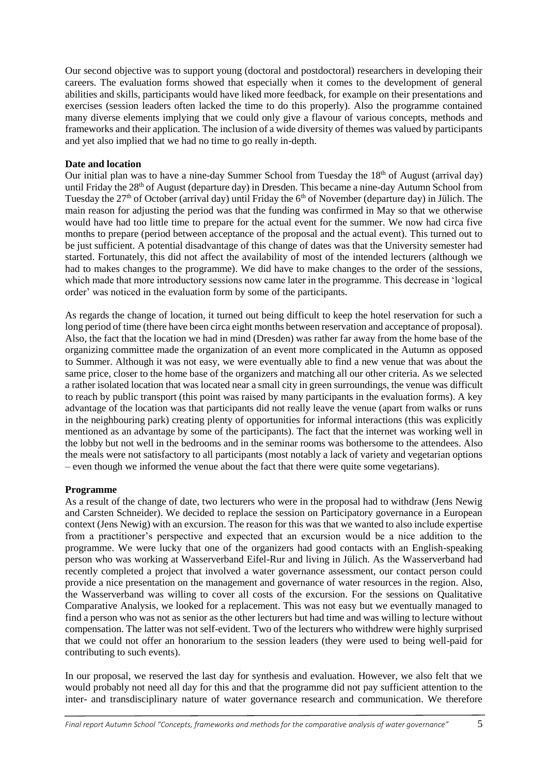Our second objective was to support young (doctoral and postdoctoral) researchers in developing their careers. The evaluation forms showed that especially when it comes to the development of general abilities and skills, participants would have liked more feedback, for example on their presentations and exercises (session leaders often lacked the time to do this properly). Also the programme contained many diverse elements implying that we could only give a flavour of various concepts, methods and frameworks and their application. The inclusion of a wide diversity of themes was valued by participants and yet also implied that we had no time to go really in-depth.

### **Date and location**

Our initial plan was to have a nine-day Summer School from Tuesday the 18<sup>th</sup> of August (arrival day) until Friday the 28<sup>th</sup> of August (departure day) in Dresden. This became a nine-day Autumn School from Tuesday the  $27<sup>th</sup>$  of October (arrival day) until Friday the 6<sup>th</sup> of November (departure day) in Jülich. The main reason for adjusting the period was that the funding was confirmed in May so that we otherwise would have had too little time to prepare for the actual event for the summer. We now had circa five months to prepare (period between acceptance of the proposal and the actual event). This turned out to be just sufficient. A potential disadvantage of this change of dates was that the University semester had started. Fortunately, this did not affect the availability of most of the intended lecturers (although we had to makes changes to the programme). We did have to make changes to the order of the sessions, which made that more introductory sessions now came later in the programme. This decrease in 'logical order' was noticed in the evaluation form by some of the participants.

As regards the change of location, it turned out being difficult to keep the hotel reservation for such a long period of time (there have been circa eight months between reservation and acceptance of proposal). Also, the fact that the location we had in mind (Dresden) was rather far away from the home base of the organizing committee made the organization of an event more complicated in the Autumn as opposed to Summer. Although it was not easy, we were eventually able to find a new venue that was about the same price, closer to the home base of the organizers and matching all our other criteria. As we selected a rather isolated location that was located near a small city in green surroundings, the venue was difficult to reach by public transport (this point was raised by many participants in the evaluation forms). A key advantage of the location was that participants did not really leave the venue (apart from walks or runs in the neighbouring park) creating plenty of opportunities for informal interactions (this was explicitly mentioned as an advantage by some of the participants). The fact that the internet was working well in the lobby but not well in the bedrooms and in the seminar rooms was bothersome to the attendees. Also the meals were not satisfactory to all participants (most notably a lack of variety and vegetarian options – even though we informed the venue about the fact that there were quite some vegetarians).

### **Programme**

As a result of the change of date, two lecturers who were in the proposal had to withdraw (Jens Newig and Carsten Schneider). We decided to replace the session on Participatory governance in a European context (Jens Newig) with an excursion. The reason for this was that we wanted to also include expertise from a practitioner's perspective and expected that an excursion would be a nice addition to the programme. We were lucky that one of the organizers had good contacts with an English-speaking person who was working at Wasserverband Eifel-Rur and living in Jülich. As the Wasserverband had recently completed a project that involved a water governance assessment, our contact person could provide a nice presentation on the management and governance of water resources in the region. Also, the Wasserverband was willing to cover all costs of the excursion. For the sessions on Qualitative Comparative Analysis, we looked for a replacement. This was not easy but we eventually managed to find a person who was not as senior as the other lecturers but had time and was willing to lecture without compensation. The latter was not self-evident. Two of the lecturers who withdrew were highly surprised that we could not offer an honorarium to the session leaders (they were used to being well-paid for contributing to such events).

In our proposal, we reserved the last day for synthesis and evaluation. However, we also felt that we would probably not need all day for this and that the programme did not pay sufficient attention to the inter- and transdisciplinary nature of water governance research and communication. We therefore